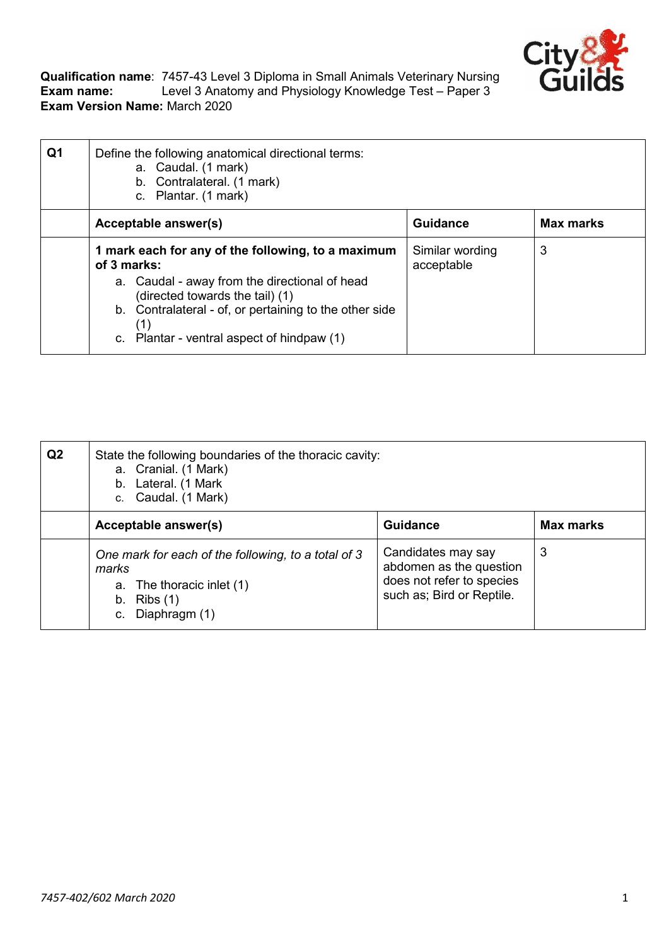

**Qualification name**: 7457-43 Level 3 Diploma in Small Animals Veterinary Nursing **Exam name:** Level 3 Anatomy and Physiology Knowledge Test – Paper 3 **Exam Version Name:** March 2020

| Q1 | Define the following anatomical directional terms:<br>a. Caudal. (1 mark)<br>b. Contralateral. (1 mark)<br>c. Plantar. (1 mark) |                               |                  |
|----|---------------------------------------------------------------------------------------------------------------------------------|-------------------------------|------------------|
|    | Acceptable answer(s)                                                                                                            | <b>Guidance</b>               | <b>Max marks</b> |
|    | 1 mark each for any of the following, to a maximum<br>of 3 marks:                                                               | Similar wording<br>acceptable | 3                |
|    | a. Caudal - away from the directional of head<br>(directed towards the tail) (1)                                                |                               |                  |
|    | b. Contralateral - of, or pertaining to the other side<br>(1)                                                                   |                               |                  |
|    | c. Plantar - ventral aspect of hindpaw (1)                                                                                      |                               |                  |

| Q <sub>2</sub> | State the following boundaries of the thoracic cavity:<br>a. Cranial. (1 Mark)<br>b. Lateral. (1 Mark<br>c. Caudal. (1 Mark)   |                                                                                                         |                  |
|----------------|--------------------------------------------------------------------------------------------------------------------------------|---------------------------------------------------------------------------------------------------------|------------------|
|                | Acceptable answer(s)                                                                                                           | <b>Guidance</b>                                                                                         | <b>Max marks</b> |
|                | One mark for each of the following, to a total of 3<br>marks<br>a. The thoracic inlet (1)<br>b. Ribs $(1)$<br>c. Diaphragm (1) | Candidates may say<br>abdomen as the question<br>does not refer to species<br>such as; Bird or Reptile. | 3                |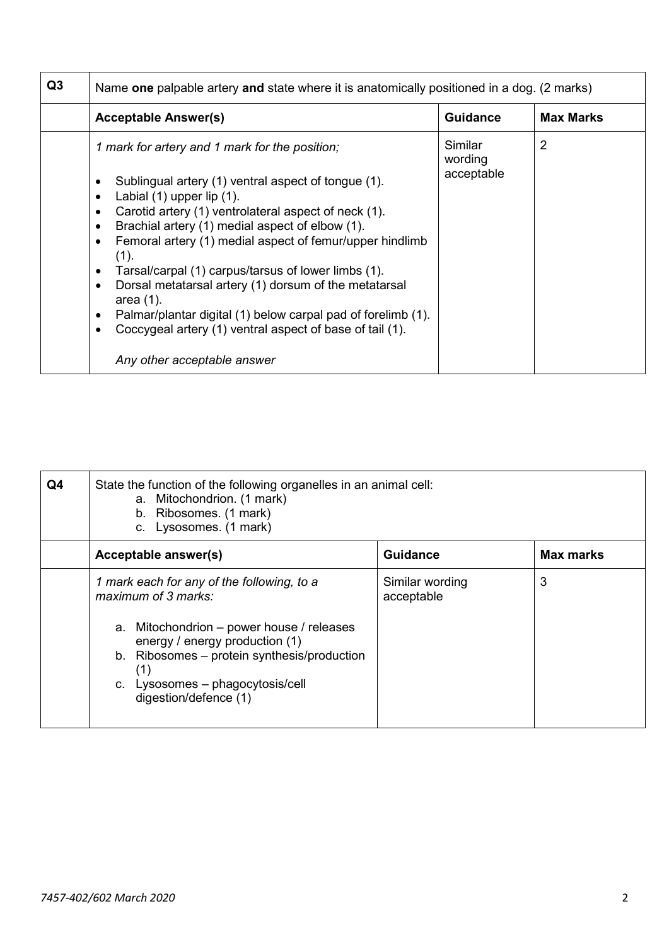| Q <sub>3</sub> | Name one palpable artery and state where it is anatomically positioned in a dog. (2 marks)                                                                                                                                                                                                                                                                                                                                                                                                                                                                                                                                                       |                                  |                  |
|----------------|--------------------------------------------------------------------------------------------------------------------------------------------------------------------------------------------------------------------------------------------------------------------------------------------------------------------------------------------------------------------------------------------------------------------------------------------------------------------------------------------------------------------------------------------------------------------------------------------------------------------------------------------------|----------------------------------|------------------|
|                | <b>Acceptable Answer(s)</b>                                                                                                                                                                                                                                                                                                                                                                                                                                                                                                                                                                                                                      | <b>Guidance</b>                  | <b>Max Marks</b> |
|                | 1 mark for artery and 1 mark for the position;<br>Sublingual artery (1) ventral aspect of tongue (1).<br>Labial (1) upper lip (1).<br>$\bullet$<br>Carotid artery (1) ventrolateral aspect of neck (1).<br>Brachial artery (1) medial aspect of elbow (1).<br>٠<br>Femoral artery (1) medial aspect of femur/upper hindlimb<br>(1).<br>Tarsal/carpal (1) carpus/tarsus of lower limbs (1).<br>Dorsal metatarsal artery (1) dorsum of the metatarsal<br>$\bullet$<br>area $(1)$ .<br>Palmar/plantar digital (1) below carpal pad of forelimb (1).<br>٠<br>Coccygeal artery (1) ventral aspect of base of tail (1).<br>Any other acceptable answer | Similar<br>wording<br>acceptable | $\overline{2}$   |

| Q4 | State the function of the following organelles in an animal cell:<br>a. Mitochondrion. (1 mark)<br>b. Ribosomes. (1 mark)<br>c. Lysosomes. (1 mark)                                                                                                                 |                               |                  |
|----|---------------------------------------------------------------------------------------------------------------------------------------------------------------------------------------------------------------------------------------------------------------------|-------------------------------|------------------|
|    | Acceptable answer(s)                                                                                                                                                                                                                                                | <b>Guidance</b>               | <b>Max marks</b> |
|    | 1 mark each for any of the following, to a<br>maximum of 3 marks:<br>a. Mitochondrion - power house / releases<br>energy / energy production (1)<br>b. Ribosomes - protein synthesis/production<br>(1)<br>c. Lysosomes - phagocytosis/cell<br>digestion/defence (1) | Similar wording<br>acceptable | 3                |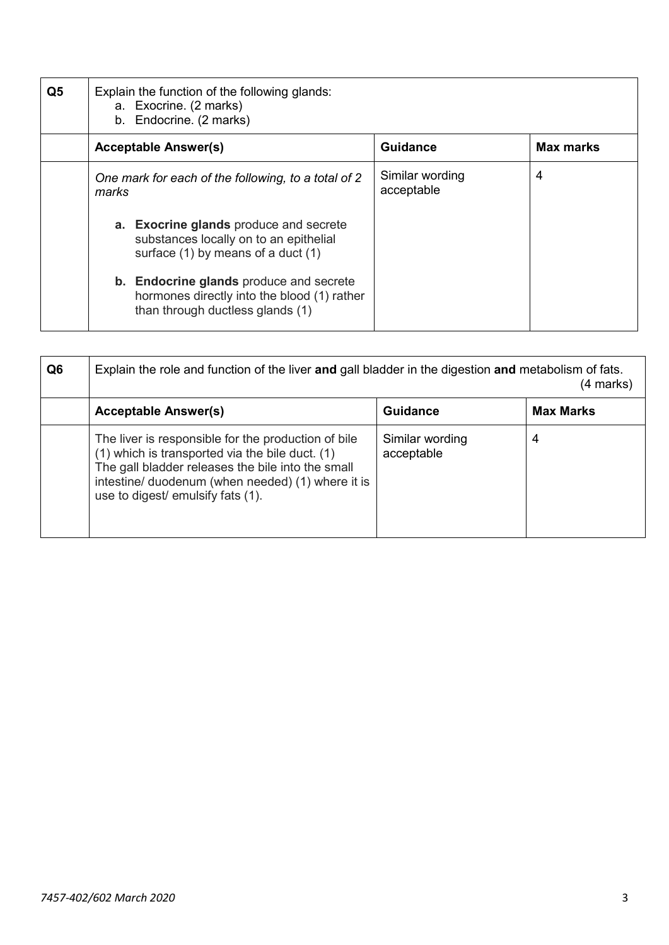| Q <sub>5</sub> | Explain the function of the following glands:<br>a. Exocrine. (2 marks)<br>Endocrine. (2 marks)<br>b. |                                                                                                                                   |                               |                  |
|----------------|-------------------------------------------------------------------------------------------------------|-----------------------------------------------------------------------------------------------------------------------------------|-------------------------------|------------------|
|                |                                                                                                       | <b>Acceptable Answer(s)</b>                                                                                                       | <b>Guidance</b>               | <b>Max marks</b> |
|                | marks                                                                                                 | One mark for each of the following, to a total of 2                                                                               | Similar wording<br>acceptable | 4                |
|                |                                                                                                       | a. Exocrine glands produce and secrete<br>substances locally on to an epithelial<br>surface (1) by means of a duct (1)            |                               |                  |
|                |                                                                                                       | <b>b.</b> Endocrine glands produce and secrete<br>hormones directly into the blood (1) rather<br>than through ductless glands (1) |                               |                  |

| Q <sub>6</sub> | Explain the role and function of the liver and gall bladder in the digestion and metabolism of fats.<br>(4 marks)                                                                                                                                     |                               |                  |  |
|----------------|-------------------------------------------------------------------------------------------------------------------------------------------------------------------------------------------------------------------------------------------------------|-------------------------------|------------------|--|
|                | <b>Acceptable Answer(s)</b>                                                                                                                                                                                                                           | <b>Guidance</b>               | <b>Max Marks</b> |  |
|                | The liver is responsible for the production of bile<br>(1) which is transported via the bile duct. (1)<br>The gall bladder releases the bile into the small<br>intestine/ duodenum (when needed) (1) where it is<br>use to digest/ emulsify fats (1). | Similar wording<br>acceptable | 4                |  |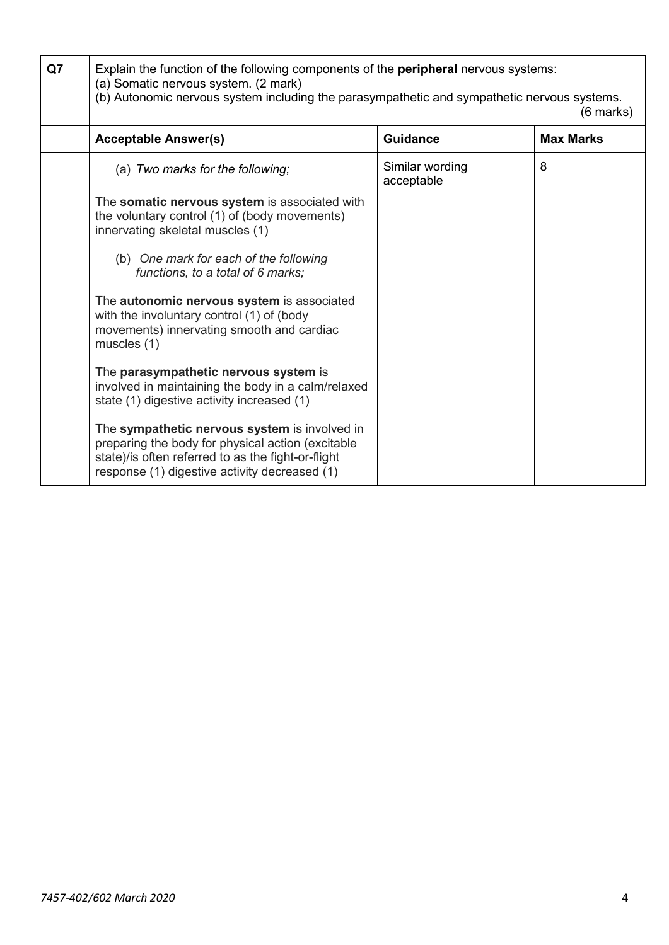| Q7 | Explain the function of the following components of the peripheral nervous systems:<br>(a) Somatic nervous system. (2 mark)<br>(b) Autonomic nervous system including the parasympathetic and sympathetic nervous systems.<br>$(6$ marks) |                               |                  |  |
|----|-------------------------------------------------------------------------------------------------------------------------------------------------------------------------------------------------------------------------------------------|-------------------------------|------------------|--|
|    | <b>Acceptable Answer(s)</b>                                                                                                                                                                                                               | <b>Guidance</b>               | <b>Max Marks</b> |  |
|    | (a) Two marks for the following;                                                                                                                                                                                                          | Similar wording<br>acceptable | 8                |  |
|    | The somatic nervous system is associated with<br>the voluntary control (1) of (body movements)<br>innervating skeletal muscles (1)                                                                                                        |                               |                  |  |
|    | (b) One mark for each of the following<br>functions, to a total of 6 marks:                                                                                                                                                               |                               |                  |  |
|    | The autonomic nervous system is associated<br>with the involuntary control (1) of (body<br>movements) innervating smooth and cardiac<br>muscles (1)                                                                                       |                               |                  |  |
|    | The parasympathetic nervous system is<br>involved in maintaining the body in a calm/relaxed<br>state (1) digestive activity increased (1)                                                                                                 |                               |                  |  |
|    | The sympathetic nervous system is involved in<br>preparing the body for physical action (excitable<br>state)/is often referred to as the fight-or-flight<br>response (1) digestive activity decreased (1)                                 |                               |                  |  |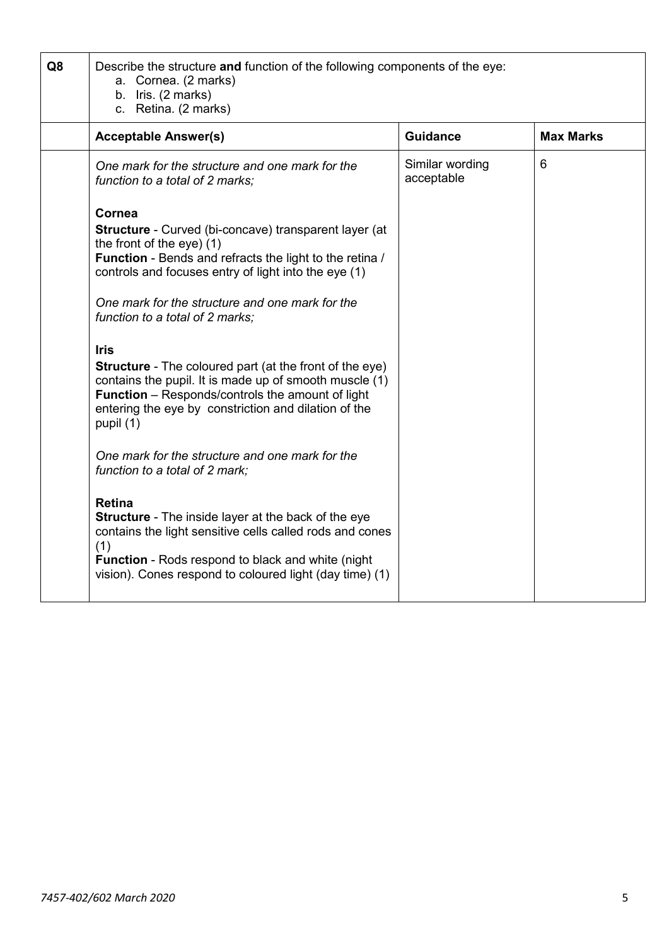| Q8 | Describe the structure and function of the following components of the eye:<br>a. Cornea. (2 marks)<br>b. Iris. (2 marks)<br>c. Retina. (2 marks)                                                                                                                                                                                                                                                                                                                                                                                                                                                                                                                                                                                                                                                                                                                                                                                                               |                               |                  |
|----|-----------------------------------------------------------------------------------------------------------------------------------------------------------------------------------------------------------------------------------------------------------------------------------------------------------------------------------------------------------------------------------------------------------------------------------------------------------------------------------------------------------------------------------------------------------------------------------------------------------------------------------------------------------------------------------------------------------------------------------------------------------------------------------------------------------------------------------------------------------------------------------------------------------------------------------------------------------------|-------------------------------|------------------|
|    | <b>Acceptable Answer(s)</b>                                                                                                                                                                                                                                                                                                                                                                                                                                                                                                                                                                                                                                                                                                                                                                                                                                                                                                                                     | <b>Guidance</b>               | <b>Max Marks</b> |
|    | One mark for the structure and one mark for the<br>function to a total of 2 marks:                                                                                                                                                                                                                                                                                                                                                                                                                                                                                                                                                                                                                                                                                                                                                                                                                                                                              | Similar wording<br>acceptable | 6                |
|    | Cornea<br><b>Structure</b> - Curved (bi-concave) transparent layer (at<br>the front of the eye) $(1)$<br><b>Function</b> - Bends and refracts the light to the retina /<br>controls and focuses entry of light into the eye (1)<br>One mark for the structure and one mark for the<br>function to a total of 2 marks;<br><b>Iris</b><br><b>Structure</b> - The coloured part (at the front of the eye)<br>contains the pupil. It is made up of smooth muscle (1)<br><b>Function</b> – Responds/controls the amount of light<br>entering the eye by constriction and dilation of the<br>pupil (1)<br>One mark for the structure and one mark for the<br>function to a total of 2 mark;<br><b>Retina</b><br><b>Structure</b> - The inside layer at the back of the eye<br>contains the light sensitive cells called rods and cones<br>(1)<br><b>Function</b> - Rods respond to black and white (night)<br>vision). Cones respond to coloured light (day time) (1) |                               |                  |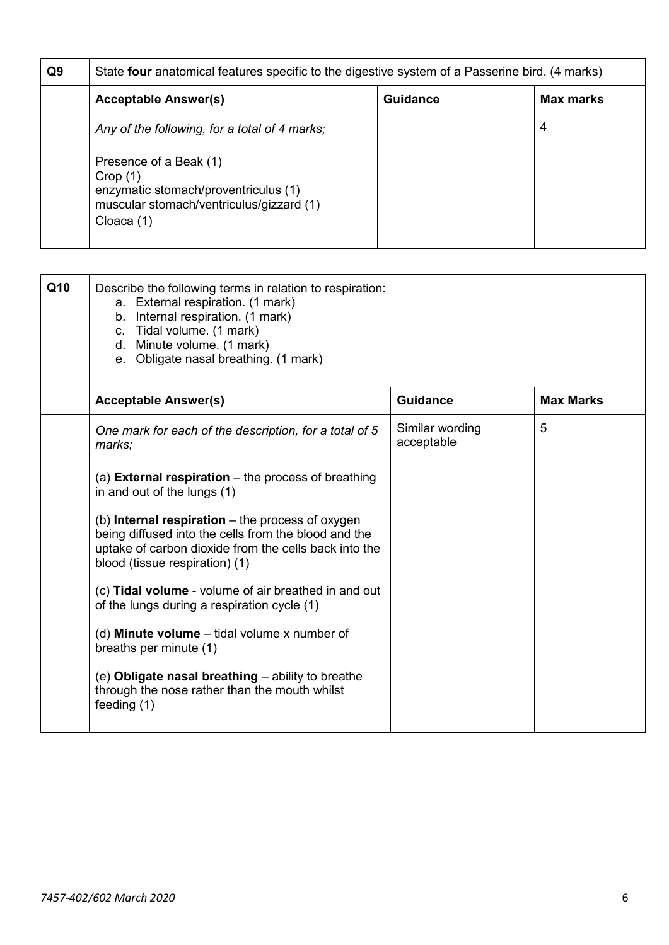| Q <sub>9</sub> | State four anatomical features specific to the digestive system of a Passerine bird. (4 marks)                                      |          |           |  |
|----------------|-------------------------------------------------------------------------------------------------------------------------------------|----------|-----------|--|
|                | <b>Acceptable Answer(s)</b>                                                                                                         | Guidance | Max marks |  |
|                | Any of the following, for a total of 4 marks;                                                                                       |          | 4         |  |
|                | Presence of a Beak (1)<br>Crop(1)<br>enzymatic stomach/proventriculus (1)<br>muscular stomach/ventriculus/gizzard (1)<br>Cloaca (1) |          |           |  |

| Q10 | Describe the following terms in relation to respiration:<br>a. External respiration. (1 mark)<br>b. Internal respiration. (1 mark)<br>c. Tidal volume. (1 mark)<br>d. Minute volume. (1 mark)<br>e. Obligate nasal breathing. (1 mark) |                               |                  |
|-----|----------------------------------------------------------------------------------------------------------------------------------------------------------------------------------------------------------------------------------------|-------------------------------|------------------|
|     | <b>Acceptable Answer(s)</b>                                                                                                                                                                                                            | <b>Guidance</b>               | <b>Max Marks</b> |
|     | One mark for each of the description, for a total of 5<br>marks;                                                                                                                                                                       | Similar wording<br>acceptable | 5                |
|     | (a) <b>External respiration</b> $-$ the process of breathing<br>in and out of the lungs (1)                                                                                                                                            |                               |                  |
|     | (b) Internal respiration $-$ the process of oxygen<br>being diffused into the cells from the blood and the<br>uptake of carbon dioxide from the cells back into the<br>blood (tissue respiration) (1)                                  |                               |                  |
|     | (c) Tidal volume - volume of air breathed in and out<br>of the lungs during a respiration cycle (1)                                                                                                                                    |                               |                  |
|     | (d) <b>Minute volume</b> $-$ tidal volume x number of<br>breaths per minute (1)                                                                                                                                                        |                               |                  |
|     | (e) Obligate nasal breathing - ability to breathe<br>through the nose rather than the mouth whilst<br>feeding (1)                                                                                                                      |                               |                  |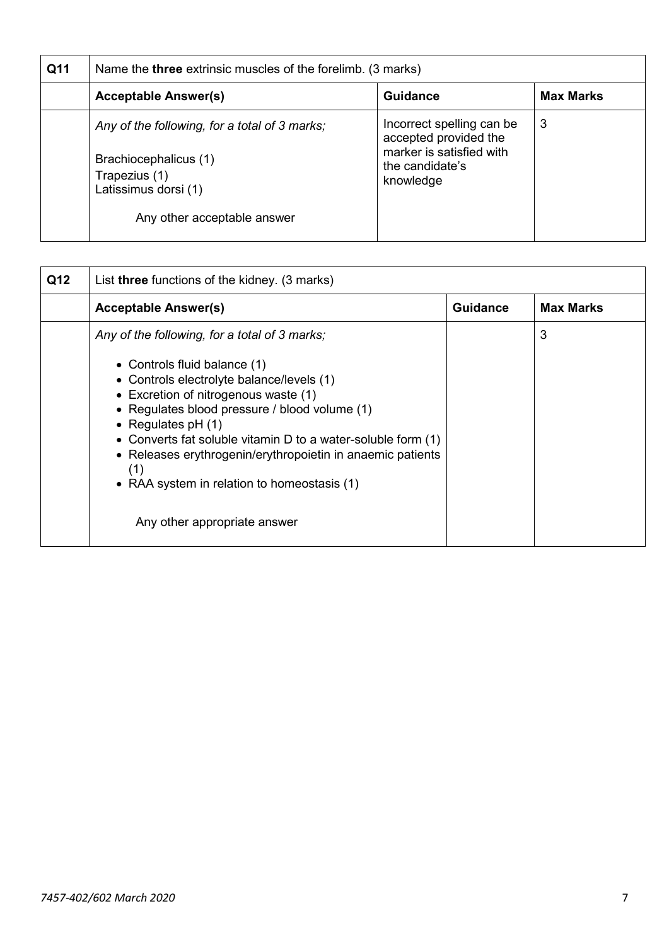| Q11 | Name the <b>three</b> extrinsic muscles of the forelimb. (3 marks)                                                                             |                                                                                                                |                  |  |
|-----|------------------------------------------------------------------------------------------------------------------------------------------------|----------------------------------------------------------------------------------------------------------------|------------------|--|
|     | <b>Acceptable Answer(s)</b>                                                                                                                    | <b>Guidance</b>                                                                                                | <b>Max Marks</b> |  |
|     | Any of the following, for a total of 3 marks;<br>Brachiocephalicus (1)<br>Trapezius (1)<br>Latissimus dorsi (1)<br>Any other acceptable answer | Incorrect spelling can be<br>accepted provided the<br>marker is satisfied with<br>the candidate's<br>knowledge | 3                |  |

| Q12 | List <b>three</b> functions of the kidney. (3 marks)                                                                                                                                                                                                                                                                                                                          |                 |                  |
|-----|-------------------------------------------------------------------------------------------------------------------------------------------------------------------------------------------------------------------------------------------------------------------------------------------------------------------------------------------------------------------------------|-----------------|------------------|
|     | <b>Acceptable Answer(s)</b>                                                                                                                                                                                                                                                                                                                                                   | <b>Guidance</b> | <b>Max Marks</b> |
|     | Any of the following, for a total of 3 marks;                                                                                                                                                                                                                                                                                                                                 |                 | 3                |
|     | • Controls fluid balance (1)<br>• Controls electrolyte balance/levels (1)<br>• Excretion of nitrogenous waste (1)<br>• Regulates blood pressure / blood volume (1)<br>• Regulates $pH(1)$<br>• Converts fat soluble vitamin D to a water-soluble form (1)<br>• Releases erythrogenin/erythropoietin in anaemic patients<br>(1)<br>• RAA system in relation to homeostasis (1) |                 |                  |
|     | Any other appropriate answer                                                                                                                                                                                                                                                                                                                                                  |                 |                  |